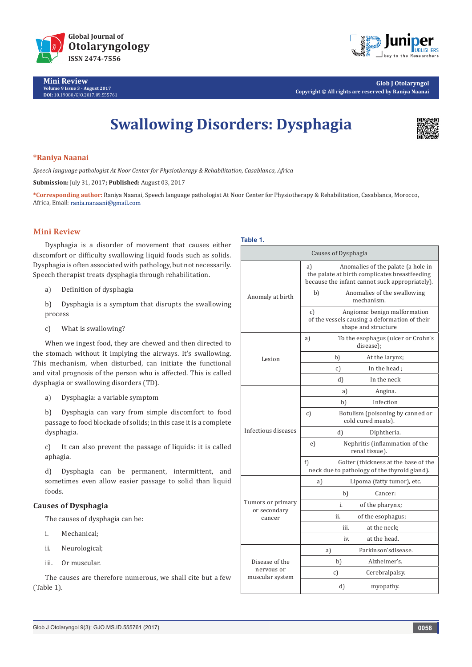

**Mini Review Volume 9 Issue 3 - August 2017 DOI:** [10.19080/GJO.2017.09.55576](http://dx.doi.org/10.19080/GJO.2017.09.555761)1



**Glob J Otolaryngol Copyright © All rights are reserved by Raniya Naanai**

# **Swallowing Disorders: Dysphagia**



#### **\*Raniya Naanai**

*Speech language pathologist At Noor Center for Physiotherapy & Rehabilitation, Casablanca, Africa*

**Submission:** July 31, 2017**; Published:** August 03, 2017

**\*Corresponding author:** Raniya Naanai, Speech language pathologist At Noor Center for Physiotherapy & Rehabilitation, Casablanca, Morocco, Africa, Email: rania.nanaani@gmail.com

# **Mini Review**

Dysphagia is a disorder of movement that causes either discomfort or difficulty swallowing liquid foods such as solids. Dysphagia is often associated with pathology, but not necessarily. Speech therapist treats dysphagia through rehabilitation.

a) Definition of dysphagia

b) Dysphagia is a symptom that disrupts the swallowing process

c) What is swallowing?

When we ingest food, they are chewed and then directed to the stomach without it implying the airways. It's swallowing. This mechanism, when disturbed, can initiate the functional and vital prognosis of the person who is affected. This is called dysphagia or swallowing disorders (TD).

a) Dysphagia: a variable symptom

b) Dysphagia can vary from simple discomfort to food passage to food blockade of solids; in this case it is a complete dysphagia.

c) It can also prevent the passage of liquids: it is called aphagia.

d) Dysphagia can be permanent, intermittent, and sometimes even allow easier passage to solid than liquid foods.

# **Causes of Dysphagia**

The causes of dysphagia can be:

- i. Mechanical;
- ii. Neurological;
- iii. Or muscular.

The causes are therefore numerous, we shall cite but a few (Table 1).

#### **Table 1.**

| Causes of Dysphagia                             |                                                                                                                                             |  |  |  |
|-------------------------------------------------|---------------------------------------------------------------------------------------------------------------------------------------------|--|--|--|
| Anomaly at birth                                | Anomalies of the palate (a hole in<br>a)<br>the palate at birth complicates breastfeeding<br>because the infant cannot suck appropriately). |  |  |  |
|                                                 | Anomalies of the swallowing<br>b)<br>mechanism.                                                                                             |  |  |  |
|                                                 | Angioma: benign malformation<br>$\mathcal{C}$<br>of the vessels causing a deformation of their<br>shape and structure                       |  |  |  |
| Lesion                                          | To the esophagus (ulcer or Crohn's<br>a)<br>disease);                                                                                       |  |  |  |
|                                                 | b)<br>At the larynx;                                                                                                                        |  |  |  |
|                                                 | In the head ;<br>c)                                                                                                                         |  |  |  |
|                                                 | In the neck<br>d)                                                                                                                           |  |  |  |
|                                                 | a)<br>Angina.                                                                                                                               |  |  |  |
|                                                 | Infection<br>b)                                                                                                                             |  |  |  |
| Infectious diseases                             | Botulism (poisoning by canned or<br>c)<br>cold cured meats).                                                                                |  |  |  |
|                                                 | d)<br>Diphtheria.                                                                                                                           |  |  |  |
|                                                 | Nephritis (inflammation of the<br>e)<br>renal tissue).                                                                                      |  |  |  |
|                                                 | Goiter (thickness at the base of the<br>f)<br>neck due to pathology of the thyroid gland).                                                  |  |  |  |
| Tumors or primary<br>or secondary<br>cancer     | a)<br>Lipoma (fatty tumor), etc.                                                                                                            |  |  |  |
|                                                 | b)<br>Cancer:                                                                                                                               |  |  |  |
|                                                 | of the pharynx;<br>i.                                                                                                                       |  |  |  |
|                                                 | ii.<br>of the esophagus;                                                                                                                    |  |  |  |
|                                                 | at the neck;<br>iii.                                                                                                                        |  |  |  |
|                                                 | at the head.<br>iv.                                                                                                                         |  |  |  |
| Disease of the<br>nervous or<br>muscular system | Parkinson'sdisease.<br>a)                                                                                                                   |  |  |  |
|                                                 | b)<br>Alzheimer's.                                                                                                                          |  |  |  |
|                                                 | c)<br>Cerebralpalsy.                                                                                                                        |  |  |  |
|                                                 | d)<br>myopathy.                                                                                                                             |  |  |  |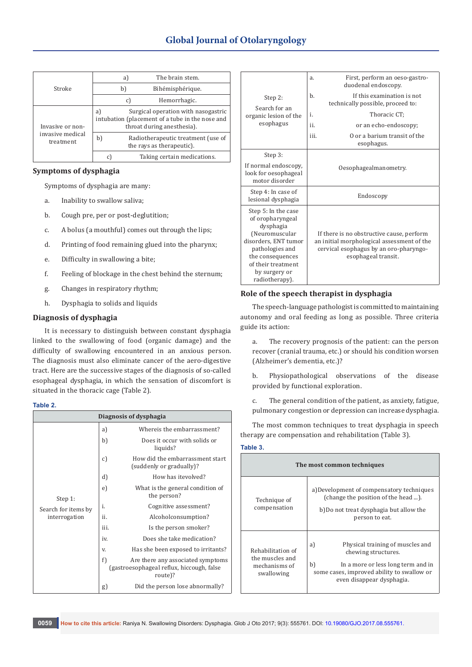# **Global Journal of Otolaryngology**

| Stroke                                            |                                                                                                                            | a) | The brain stem.                                                 |
|---------------------------------------------------|----------------------------------------------------------------------------------------------------------------------------|----|-----------------------------------------------------------------|
|                                                   |                                                                                                                            | b) | Bihémisphérique.                                                |
|                                                   |                                                                                                                            | C) | Hemorrhagic.                                                    |
| Invasive or non-<br>invasive medical<br>treatment | Surgical operation with nasogastric<br>a)<br>intubation (placement of a tube in the nose and<br>throat during anesthesia). |    |                                                                 |
|                                                   | b)                                                                                                                         |    | Radiotherapeutic treatment (use of<br>the rays as therapeutic). |
|                                                   | C                                                                                                                          |    | Taking certain medications.                                     |

#### **Symptoms of dysphagia**

Symptoms of dysphagia are many:

- a. Inability to swallow saliva;
- b. Cough pre, per or post-deglutition;
- c. A bolus (a mouthful) comes out through the lips;
- d. Printing of food remaining glued into the pharynx;
- e. Difficulty in swallowing a bite;
- f. Feeling of blockage in the chest behind the sternum;
- g. Changes in respiratory rhythm;
- h. Dysphagia to solids and liquids

#### **Diagnosis of dysphagia**

It is necessary to distinguish between constant dysphagia linked to the swallowing of food (organic damage) and the difficulty of swallowing encountered in an anxious person. The diagnosis must also eliminate cancer of the aero-digestive tract. Here are the successive stages of the diagnosis of so-called esophageal dysphagia, in which the sensation of discomfort is situated in the thoracic cage (Table 2).

#### **Table 2.**

| Diagnosis of dysphagia                          |      |                                                                                            |  |  |  |
|-------------------------------------------------|------|--------------------------------------------------------------------------------------------|--|--|--|
| Step 1:<br>Search for items by<br>interrogation | a)   | Whereis the embarrassment?                                                                 |  |  |  |
|                                                 | b)   | Does it occur with solids or<br>liquids?                                                   |  |  |  |
|                                                 | c)   | How did the embarrassment start<br>(suddenly or gradually)?                                |  |  |  |
|                                                 | d)   | How has itevolved?                                                                         |  |  |  |
|                                                 | e)   | What is the general condition of<br>the person?                                            |  |  |  |
|                                                 | i.   | Cognitive assessment?                                                                      |  |  |  |
|                                                 | ii.  | Alcoholconsumption?                                                                        |  |  |  |
|                                                 | iii. | Is the person smoker?                                                                      |  |  |  |
|                                                 | iv.  | Does she take medication?                                                                  |  |  |  |
|                                                 | V.   | Has she been exposed to irritants?                                                         |  |  |  |
|                                                 | f)   | Are there any associated symptoms<br>(gastroesophageal reflux, hiccough, false)<br>route)? |  |  |  |
|                                                 | g)   | Did the person lose abnormally?                                                            |  |  |  |

| Step 2:<br>Search for an<br>organic lesion of the<br>esophagus                                                                                                                                 | First, perform an oeso-gastro-<br>a.<br>duodenal endoscopy.                                                                                              |  |  |  |
|------------------------------------------------------------------------------------------------------------------------------------------------------------------------------------------------|----------------------------------------------------------------------------------------------------------------------------------------------------------|--|--|--|
|                                                                                                                                                                                                | If this examination is not<br>b.<br>technically possible, proceed to:                                                                                    |  |  |  |
|                                                                                                                                                                                                | Thoracic CT:<br>i.                                                                                                                                       |  |  |  |
|                                                                                                                                                                                                | ii.<br>or an echo-endoscopy;                                                                                                                             |  |  |  |
|                                                                                                                                                                                                | O or a barium transit of the<br>iii.<br>esophagus.                                                                                                       |  |  |  |
| Step 3:                                                                                                                                                                                        |                                                                                                                                                          |  |  |  |
| If normal endoscopy,<br>look for oesophageal<br>motor disorder                                                                                                                                 | Oesophagealmanometry.                                                                                                                                    |  |  |  |
| Step 4: In case of<br>lesional dysphagia                                                                                                                                                       | Endoscopy                                                                                                                                                |  |  |  |
| Step 5: In the case<br>of oropharyngeal<br>dysphagia<br>(Neuromuscular<br>disorders, ENT tumor<br>pathologies and<br>the consequences<br>of their treatment<br>by surgery or<br>radiotherapy). | If there is no obstructive cause, perform<br>an initial morphological assessment of the<br>cervical esophagus by an oro-pharyngo-<br>esophageal transit. |  |  |  |

## **Role of the speech therapist in dysphagia**

The speech-language pathologist is committed to maintaining autonomy and oral feeding as long as possible. Three criteria guide its action:

a. The recovery prognosis of the patient: can the person recover (cranial trauma, etc.) or should his condition worsen (Alzheimer's dementia, etc.)?

b. Physiopathological observations of the disease provided by functional exploration.

c. The general condition of the patient, as anxiety, fatigue, pulmonary congestion or depression can increase dysphagia.

The most common techniques to treat dysphagia in speech therapy are compensation and rehabilitation (Table 3).

#### **Table 3.**

| The most common techniques                                          |                                                                                                                                                                                      |  |  |  |
|---------------------------------------------------------------------|--------------------------------------------------------------------------------------------------------------------------------------------------------------------------------------|--|--|--|
| Technique of<br>compensation                                        | a) Development of compensatory techniques<br>(change the position of the head ).<br>b)Do not treat dysphagia but allow the<br>person to eat.                                         |  |  |  |
| Rehabilitation of<br>the muscles and<br>mechanisms of<br>swallowing | Physical training of muscles and<br>a)<br>chewing structures.<br>b)<br>In a more or less long term and in<br>some cases, improved ability to swallow or<br>even disappear dysphagia. |  |  |  |